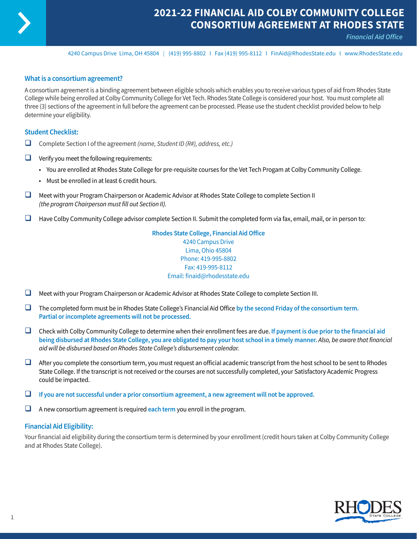

## **2021-22 FINANCIAL AID COLBY COMMUNITY COLLEGE CONSORTIUM AGREEMENT AT RHODES STATE**

*Financial Aid Office*

4240 Campus Drive Lima, OH 45804 I (419) 995-8802 I Fax (419) 995-8112 I [FinAid@RhodesState.edu](mailto:FinAid@RhodesState.edu) I [www.RhodesState.edu](http://www.RhodesState.edu)

#### **What is a consortium agreement?**

A consortium agreement is a binding agreement between eligible schools which enables you to receive various types of aid from Rhodes State College while being enrolled at Colby Community College for Vet Tech. Rhodes State College is considered your host. You must complete all three (3) sections of the agreement in full before the agreement can be processed. Please use the student checklist provided below to help determine your eligibility.

#### **Student Checklist:**

- □ Complete Section I of the agreement *(name, Student ID (R#), address, etc.)*
- $\Box$  Verify you meet the following requirements:
	- You are enrolled at Rhodes State College for pre-requisite courses for the Vet Tech Progam at Colby Community College.
	- Must be enrolled in at least 6 credit hours.
- $\Box$  Meet with your Program Chairperson or Academic Advisor at Rhodes State College to complete Section II *(the program Chairperson must fill out Section II).*
- $\Box$  Have Colby Community College advisor complete Section II. Submit the completed form via fax, email, mail, or in person to:

**Rhodes State College, Financial Aid Office** 4240 Campus Drive Lima, Ohio 45804 Phone: 419-995-8802 Fax: 419-995-8112 Email: finaid@rhodesstate.edu

- $\Box$  Meet with your Program Chairperson or Academic Advisor at Rhodes State College to complete Section III.
- □ The completed form must be in Rhodes State College's Financial Aid Office by the second Friday of the consortium term. **Partial or incomplete agreements will not be processed.**
- □ Check with Colby Community College to determine when their enrollment fees are due. If payment is due prior to the financial aid **being disbursed at Rhodes State College, you are obligated to pay your host school in a timely manner.** *Also, be aware that financial aid will be disbursed based on Rhodes State College's disbursement calendar.*
- $\Box$  After you complete the consortium term, you must request an official academic transcript from the host school to be sent to Rhodes State College. If the transcript is not received or the courses are not successfully completed, your Satisfactory Academic Progress could be impacted.
- $\Box$  If you are not successful under a prior consortium agreement, a new agreement will not be approved.
- $\Box$  A new consortium agreement is required each term you enroll in the program.

### **Financial Aid Eligibility:**

Your financial aid eligibility during the consortium term is determined by your enrollment (credit hours taken at Colby Community College and at Rhodes State College).

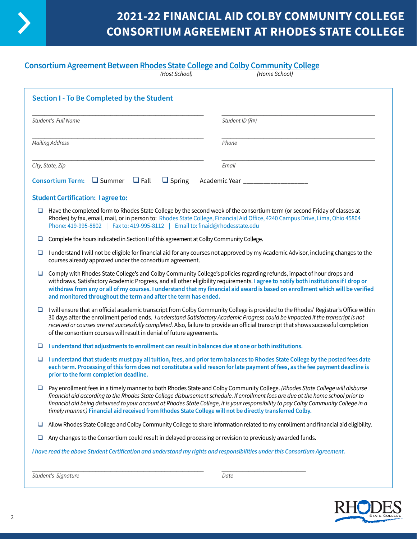

# **2021-22 FINANCIAL AID COLBY COMMUNITY COLLEGE CONSORTIUM AGREEMENT AT RHODES STATE COLLEGE**

## **Consortium Agreement Between Rhodes State College and Colby Community College**

|                        | (Host School)                                                                                                                                                                                                                                                                                                                                                                                                                                                                             | (Home School)                                                                                                                                                                                                                                                                                                                                                                                             |  |  |  |
|------------------------|-------------------------------------------------------------------------------------------------------------------------------------------------------------------------------------------------------------------------------------------------------------------------------------------------------------------------------------------------------------------------------------------------------------------------------------------------------------------------------------------|-----------------------------------------------------------------------------------------------------------------------------------------------------------------------------------------------------------------------------------------------------------------------------------------------------------------------------------------------------------------------------------------------------------|--|--|--|
|                        | Section I - To Be Completed by the Student                                                                                                                                                                                                                                                                                                                                                                                                                                                |                                                                                                                                                                                                                                                                                                                                                                                                           |  |  |  |
| Student's Full Name    |                                                                                                                                                                                                                                                                                                                                                                                                                                                                                           | Student ID (R#)                                                                                                                                                                                                                                                                                                                                                                                           |  |  |  |
| <b>Mailing Address</b> |                                                                                                                                                                                                                                                                                                                                                                                                                                                                                           | Phone                                                                                                                                                                                                                                                                                                                                                                                                     |  |  |  |
|                        | City, State, Zip                                                                                                                                                                                                                                                                                                                                                                                                                                                                          | Email                                                                                                                                                                                                                                                                                                                                                                                                     |  |  |  |
|                        | Consortium Term: $\Box$ Summer $\Box$ Fall<br>$\Box$ Spring                                                                                                                                                                                                                                                                                                                                                                                                                               | Academic Year __________________                                                                                                                                                                                                                                                                                                                                                                          |  |  |  |
|                        | <b>Student Certification: I agree to:</b>                                                                                                                                                                                                                                                                                                                                                                                                                                                 |                                                                                                                                                                                                                                                                                                                                                                                                           |  |  |  |
| ⊔                      | Have the completed form to Rhodes State College by the second week of the consortium term (or second Friday of classes at<br>Rhodes) by fax, email, mail, or in person to: Rhodes State College, Financial Aid Office, 4240 Campus Drive, Lima, Ohio 45804<br>Phone: 419-995-8802   Fax to: 419-995-8112   Email to: finaid@rhodesstate.edu                                                                                                                                               |                                                                                                                                                                                                                                                                                                                                                                                                           |  |  |  |
| ⊔                      | Complete the hours indicated in Section II of this agreement at Colby Community College.                                                                                                                                                                                                                                                                                                                                                                                                  |                                                                                                                                                                                                                                                                                                                                                                                                           |  |  |  |
| ⊔                      | courses already approved under the consortium agreement.                                                                                                                                                                                                                                                                                                                                                                                                                                  | I understand I will not be eligible for financial aid for any courses not approved by my Academic Advisor, including changes to the                                                                                                                                                                                                                                                                       |  |  |  |
| ❏                      | Comply with Rhodes State College's and Colby Community College's policies regarding refunds, impact of hour drops and<br>withdraws, Satisfactory Academic Progress, and all other eligibility requirements. I agree to notify both institutions if I drop or<br>withdraw from any or all of my courses. I understand that my financial aid award is based on enrollment which will be verified<br>and monitored throughout the term and after the term has ended.                         |                                                                                                                                                                                                                                                                                                                                                                                                           |  |  |  |
| ⊔                      | I will ensure that an official academic transcript from Colby Community College is provided to the Rhodes' Registrar's Office within<br>30 days after the enrollment period ends. I understand Satisfactory Academic Progress could be impacted if the transcript is not<br>received or courses are not successfully completed. Also, failure to provide an official transcript that shows successful completion<br>of the consortium courses will result in denial of future agreements. |                                                                                                                                                                                                                                                                                                                                                                                                           |  |  |  |
| ⊔                      | I understand that adjustments to enrollment can result in balances due at one or both institutions.                                                                                                                                                                                                                                                                                                                                                                                       |                                                                                                                                                                                                                                                                                                                                                                                                           |  |  |  |
| ⊔                      | prior to the form completion deadline.                                                                                                                                                                                                                                                                                                                                                                                                                                                    | I understand that students must pay all tuition, fees, and prior term balances to Rhodes State College by the posted fees date<br>each term. Processing of this form does not constitute a valid reason for late payment of fees, as the fee payment deadline is                                                                                                                                          |  |  |  |
| ⊔                      | timely manner.) Financial aid received from Rhodes State College will not be directly transferred Colby.                                                                                                                                                                                                                                                                                                                                                                                  | Pay enrollment fees in a timely manner to both Rhodes State and Colby Community College. (Rhodes State College will disburse<br>financial aid according to the Rhodes State College disbursement schedule. If enrollment fees are due at the home school prior to<br>financial aid being disbursed to your account at Rhodes State College, it is your responsibility to pay Colby Community College in a |  |  |  |
| ц                      |                                                                                                                                                                                                                                                                                                                                                                                                                                                                                           | Allow Rhodes State College and Colby Community College to share information related to my enrollment and financial aid eligibility.                                                                                                                                                                                                                                                                       |  |  |  |
| ⊔                      | Any changes to the Consortium could result in delayed processing or revision to previously awarded funds.                                                                                                                                                                                                                                                                                                                                                                                 |                                                                                                                                                                                                                                                                                                                                                                                                           |  |  |  |
|                        | I have read the above Student Certification and understand my rights and responsibilities under this Consortium Agreement.                                                                                                                                                                                                                                                                                                                                                                |                                                                                                                                                                                                                                                                                                                                                                                                           |  |  |  |
|                        |                                                                                                                                                                                                                                                                                                                                                                                                                                                                                           |                                                                                                                                                                                                                                                                                                                                                                                                           |  |  |  |

*Student's Signature Date*